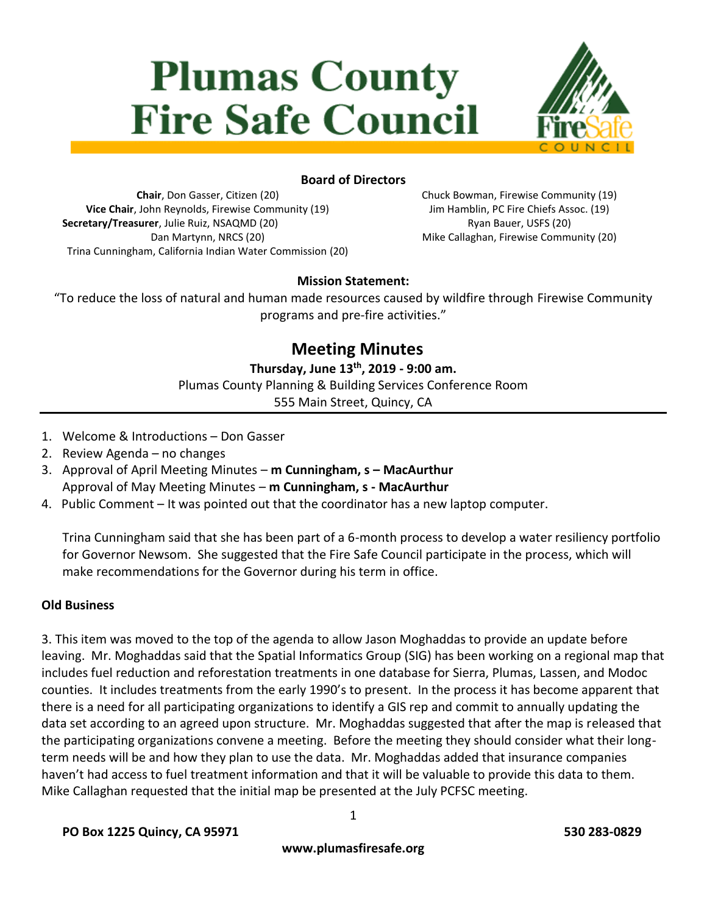# **Plumas County Fire Safe Council**



# **Board of Directors**

**Chair**, Don Gasser, Citizen (20) **Vice Chair**, John Reynolds, Firewise Community (19) **Secretary/Treasurer**, Julie Ruiz, NSAQMD (20) Dan Martynn, NRCS (20) Trina Cunningham, California Indian Water Commission (20) Chuck Bowman, Firewise Community (19) Jim Hamblin, PC Fire Chiefs Assoc. (19) Ryan Bauer, USFS (20) Mike Callaghan, Firewise Community (20)

# **Mission Statement:**

"To reduce the loss of natural and human made resources caused by wildfire through Firewise Community programs and pre-fire activities."

# **Meeting Minutes**

**Thursday, June 13th, 2019 - 9:00 am.**

Plumas County Planning & Building Services Conference Room

555 Main Street, Quincy, CA

- 1. Welcome & Introductions Don Gasser
- 2. Review Agenda no changes
- 3. Approval of April Meeting Minutes **m Cunningham, s – MacAurthur** Approval of May Meeting Minutes – **m Cunningham, s - MacAurthur**
- 4. Public Comment It was pointed out that the coordinator has a new laptop computer.

Trina Cunningham said that she has been part of a 6-month process to develop a water resiliency portfolio for Governor Newsom. She suggested that the Fire Safe Council participate in the process, which will make recommendations for the Governor during his term in office.

# **Old Business**

3. This item was moved to the top of the agenda to allow Jason Moghaddas to provide an update before leaving. Mr. Moghaddas said that the Spatial Informatics Group (SIG) has been working on a regional map that includes fuel reduction and reforestation treatments in one database for Sierra, Plumas, Lassen, and Modoc counties. It includes treatments from the early 1990's to present. In the process it has become apparent that there is a need for all participating organizations to identify a GIS rep and commit to annually updating the data set according to an agreed upon structure. Mr. Moghaddas suggested that after the map is released that the participating organizations convene a meeting. Before the meeting they should consider what their longterm needs will be and how they plan to use the data. Mr. Moghaddas added that insurance companies haven't had access to fuel treatment information and that it will be valuable to provide this data to them. Mike Callaghan requested that the initial map be presented at the July PCFSC meeting.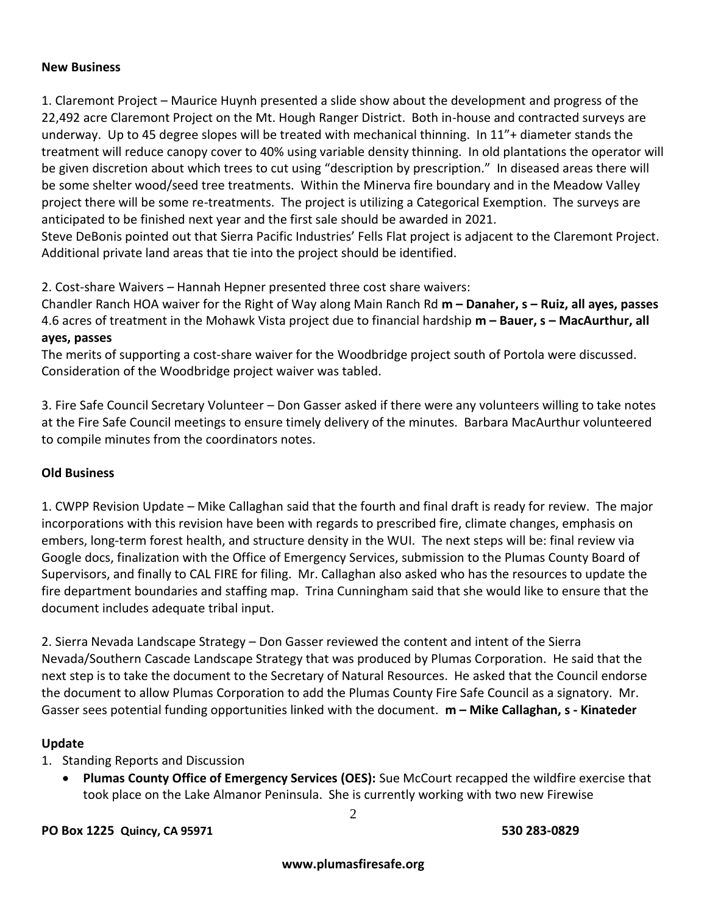#### **New Business**

1. Claremont Project – Maurice Huynh presented a slide show about the development and progress of the 22,492 acre Claremont Project on the Mt. Hough Ranger District. Both in-house and contracted surveys are underway. Up to 45 degree slopes will be treated with mechanical thinning. In 11"+ diameter stands the treatment will reduce canopy cover to 40% using variable density thinning. In old plantations the operator will be given discretion about which trees to cut using "description by prescription." In diseased areas there will be some shelter wood/seed tree treatments. Within the Minerva fire boundary and in the Meadow Valley project there will be some re-treatments. The project is utilizing a Categorical Exemption. The surveys are anticipated to be finished next year and the first sale should be awarded in 2021.

Steve DeBonis pointed out that Sierra Pacific Industries' Fells Flat project is adjacent to the Claremont Project. Additional private land areas that tie into the project should be identified.

2. Cost-share Waivers – Hannah Hepner presented three cost share waivers:

Chandler Ranch HOA waiver for the Right of Way along Main Ranch Rd **m – Danaher, s – Ruiz, all ayes, passes** 4.6 acres of treatment in the Mohawk Vista project due to financial hardship **m – Bauer, s – MacAurthur, all ayes, passes**

The merits of supporting a cost-share waiver for the Woodbridge project south of Portola were discussed. Consideration of the Woodbridge project waiver was tabled.

3. Fire Safe Council Secretary Volunteer – Don Gasser asked if there were any volunteers willing to take notes at the Fire Safe Council meetings to ensure timely delivery of the minutes. Barbara MacAurthur volunteered to compile minutes from the coordinators notes.

# **Old Business**

1. CWPP Revision Update – Mike Callaghan said that the fourth and final draft is ready for review. The major incorporations with this revision have been with regards to prescribed fire, climate changes, emphasis on embers, long-term forest health, and structure density in the WUI. The next steps will be: final review via Google docs, finalization with the Office of Emergency Services, submission to the Plumas County Board of Supervisors, and finally to CAL FIRE for filing. Mr. Callaghan also asked who has the resources to update the fire department boundaries and staffing map. Trina Cunningham said that she would like to ensure that the document includes adequate tribal input.

2. Sierra Nevada Landscape Strategy – Don Gasser reviewed the content and intent of the Sierra Nevada/Southern Cascade Landscape Strategy that was produced by Plumas Corporation. He said that the next step is to take the document to the Secretary of Natural Resources. He asked that the Council endorse the document to allow Plumas Corporation to add the Plumas County Fire Safe Council as a signatory. Mr. Gasser sees potential funding opportunities linked with the document. **m – Mike Callaghan, s - Kinateder**

#### **Update**

1. Standing Reports and Discussion

 **Plumas County Office of Emergency Services (OES):** Sue McCourt recapped the wildfire exercise that took place on the Lake Almanor Peninsula. She is currently working with two new Firewise

2

**PO Box 1225 Quincy, CA 95971 530 283-0829**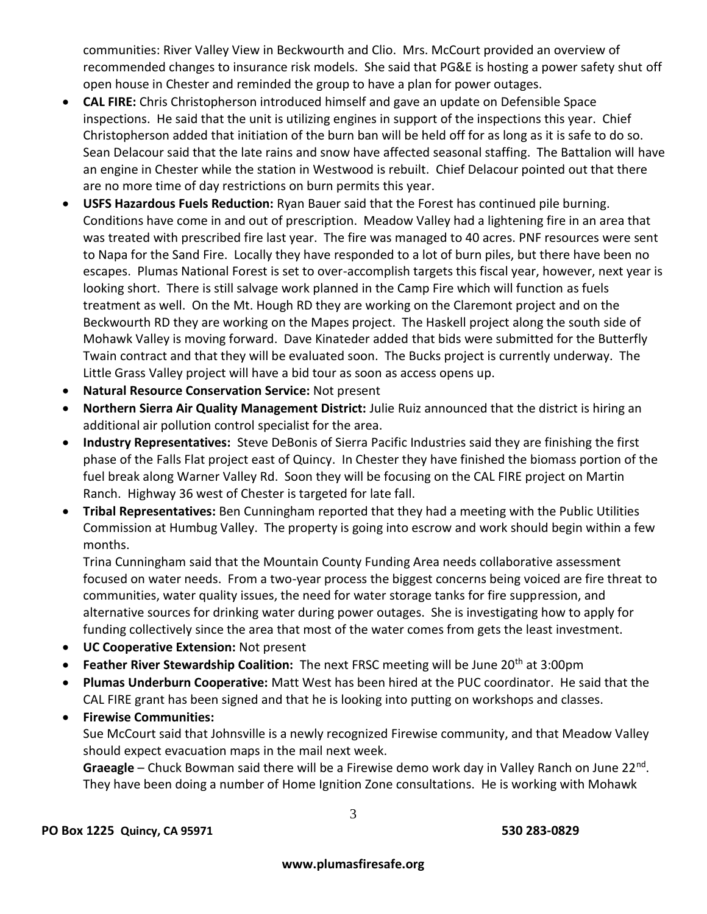communities: River Valley View in Beckwourth and Clio. Mrs. McCourt provided an overview of recommended changes to insurance risk models. She said that PG&E is hosting a power safety shut off open house in Chester and reminded the group to have a plan for power outages.

- **CAL FIRE:** Chris Christopherson introduced himself and gave an update on Defensible Space inspections. He said that the unit is utilizing engines in support of the inspections this year. Chief Christopherson added that initiation of the burn ban will be held off for as long as it is safe to do so. Sean Delacour said that the late rains and snow have affected seasonal staffing. The Battalion will have an engine in Chester while the station in Westwood is rebuilt. Chief Delacour pointed out that there are no more time of day restrictions on burn permits this year.
- **USFS Hazardous Fuels Reduction:** Ryan Bauer said that the Forest has continued pile burning. Conditions have come in and out of prescription. Meadow Valley had a lightening fire in an area that was treated with prescribed fire last year. The fire was managed to 40 acres. PNF resources were sent to Napa for the Sand Fire. Locally they have responded to a lot of burn piles, but there have been no escapes. Plumas National Forest is set to over-accomplish targets this fiscal year, however, next year is looking short. There is still salvage work planned in the Camp Fire which will function as fuels treatment as well. On the Mt. Hough RD they are working on the Claremont project and on the Beckwourth RD they are working on the Mapes project. The Haskell project along the south side of Mohawk Valley is moving forward. Dave Kinateder added that bids were submitted for the Butterfly Twain contract and that they will be evaluated soon. The Bucks project is currently underway. The Little Grass Valley project will have a bid tour as soon as access opens up.
- **Natural Resource Conservation Service:** Not present
- **Northern Sierra Air Quality Management District:** Julie Ruiz announced that the district is hiring an additional air pollution control specialist for the area.
- **Industry Representatives:** Steve DeBonis of Sierra Pacific Industries said they are finishing the first phase of the Falls Flat project east of Quincy. In Chester they have finished the biomass portion of the fuel break along Warner Valley Rd. Soon they will be focusing on the CAL FIRE project on Martin Ranch. Highway 36 west of Chester is targeted for late fall.
- **Tribal Representatives:** Ben Cunningham reported that they had a meeting with the Public Utilities Commission at Humbug Valley. The property is going into escrow and work should begin within a few months.

Trina Cunningham said that the Mountain County Funding Area needs collaborative assessment focused on water needs. From a two-year process the biggest concerns being voiced are fire threat to communities, water quality issues, the need for water storage tanks for fire suppression, and alternative sources for drinking water during power outages. She is investigating how to apply for funding collectively since the area that most of the water comes from gets the least investment.

- **UC Cooperative Extension:** Not present
- **Feather River Stewardship Coalition:** The next FRSC meeting will be June 20<sup>th</sup> at 3:00pm
- **Plumas Underburn Cooperative:** Matt West has been hired at the PUC coordinator. He said that the CAL FIRE grant has been signed and that he is looking into putting on workshops and classes.

**Firewise Communities:**

Sue McCourt said that Johnsville is a newly recognized Firewise community, and that Meadow Valley should expect evacuation maps in the mail next week.

Graeagle – Chuck Bowman said there will be a Firewise demo work day in Valley Ranch on June 22<sup>nd</sup>. They have been doing a number of Home Ignition Zone consultations. He is working with Mohawk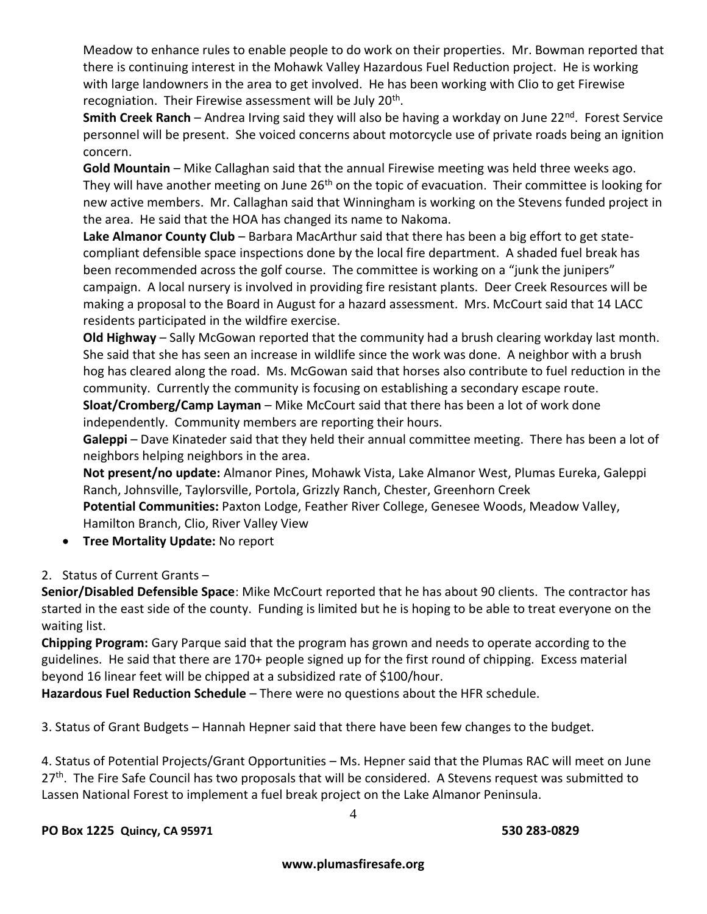Meadow to enhance rules to enable people to do work on their properties. Mr. Bowman reported that there is continuing interest in the Mohawk Valley Hazardous Fuel Reduction project. He is working with large landowners in the area to get involved. He has been working with Clio to get Firewise recogniation. Their Firewise assessment will be July 20<sup>th</sup>.

**Smith Creek Ranch** – Andrea Irving said they will also be having a workday on June 22<sup>nd</sup>. Forest Service personnel will be present. She voiced concerns about motorcycle use of private roads being an ignition concern.

**Gold Mountain** – Mike Callaghan said that the annual Firewise meeting was held three weeks ago. They will have another meeting on June 26<sup>th</sup> on the topic of evacuation. Their committee is looking for new active members. Mr. Callaghan said that Winningham is working on the Stevens funded project in the area. He said that the HOA has changed its name to Nakoma.

**Lake Almanor County Club** – Barbara MacArthur said that there has been a big effort to get statecompliant defensible space inspections done by the local fire department. A shaded fuel break has been recommended across the golf course. The committee is working on a "junk the junipers" campaign. A local nursery is involved in providing fire resistant plants. Deer Creek Resources will be making a proposal to the Board in August for a hazard assessment. Mrs. McCourt said that 14 LACC residents participated in the wildfire exercise.

**Old Highway** – Sally McGowan reported that the community had a brush clearing workday last month. She said that she has seen an increase in wildlife since the work was done. A neighbor with a brush hog has cleared along the road. Ms. McGowan said that horses also contribute to fuel reduction in the community. Currently the community is focusing on establishing a secondary escape route.

**Sloat/Cromberg/Camp Layman** – Mike McCourt said that there has been a lot of work done independently. Community members are reporting their hours.

**Galeppi** – Dave Kinateder said that they held their annual committee meeting. There has been a lot of neighbors helping neighbors in the area.

**Not present/no update:** Almanor Pines, Mohawk Vista, Lake Almanor West, Plumas Eureka, Galeppi Ranch, Johnsville, Taylorsville, Portola, Grizzly Ranch, Chester, Greenhorn Creek

**Potential Communities:** Paxton Lodge, Feather River College, Genesee Woods, Meadow Valley, Hamilton Branch, Clio, River Valley View

**Tree Mortality Update:** No report

# 2. Status of Current Grants –

**Senior/Disabled Defensible Space**: Mike McCourt reported that he has about 90 clients. The contractor has started in the east side of the county. Funding is limited but he is hoping to be able to treat everyone on the waiting list.

**Chipping Program:** Gary Parque said that the program has grown and needs to operate according to the guidelines. He said that there are 170+ people signed up for the first round of chipping. Excess material beyond 16 linear feet will be chipped at a subsidized rate of \$100/hour.

**Hazardous Fuel Reduction Schedule** – There were no questions about the HFR schedule.

3. Status of Grant Budgets – Hannah Hepner said that there have been few changes to the budget.

4. Status of Potential Projects/Grant Opportunities – Ms. Hepner said that the Plumas RAC will meet on June 27<sup>th</sup>. The Fire Safe Council has two proposals that will be considered. A Stevens request was submitted to Lassen National Forest to implement a fuel break project on the Lake Almanor Peninsula.